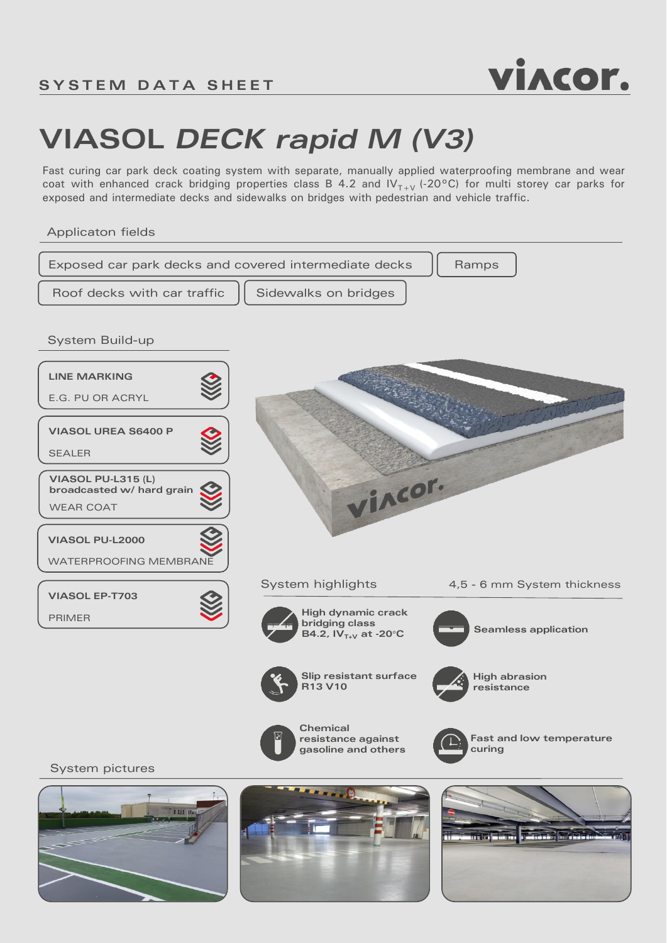

## **VIASOL** *DECK rapid M (V3)*

Fast curing car park deck coating system with separate, manually applied waterproofing membrane and wear coat with enhanced crack bridging properties class B 4.2 and  $IV_{T+V}$  (-20°C) for multi storey car parks for exposed and intermediate decks and sidewalks on bridges with pedestrian and vehicle traffic.